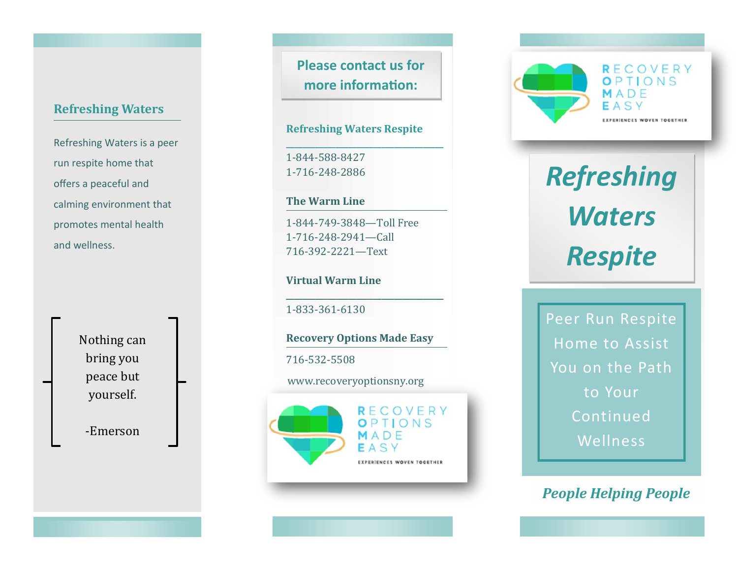## **Refreshing Waters**

Refreshing Waters is a peer run respite home that offers a peaceful and calming environment that promotes mental health and wellness.

> Nothing can bring you peace but yourself.

-Emerson

**Please contact us for more information:**

### **Refreshing Waters Respite**

**\_\_\_\_\_\_\_\_\_\_\_\_\_\_\_\_\_\_\_\_\_\_\_\_\_\_\_\_\_\_\_\_\_\_\_\_\_\_**

1-844-588-8427 1-716-248-2886

#### **The Warm Line**

1-844-749-3848—Toll Free 1-716-248-2941—Call 716-392-2221—Text

### **Virtual Warm Line**

1-833-361-6130

**Recovery Options Made Easy**

**\_\_\_\_\_\_\_\_\_\_\_\_\_\_\_\_\_\_\_\_\_\_\_\_\_\_\_\_\_\_\_\_\_\_\_\_\_\_**

716-532-5508

www.recoveryoptionsny.org





# *Refreshing Waters Respite*

Peer Run Respite Home to Assist You on the Path to Your Continued Wellness

*People Helping People*